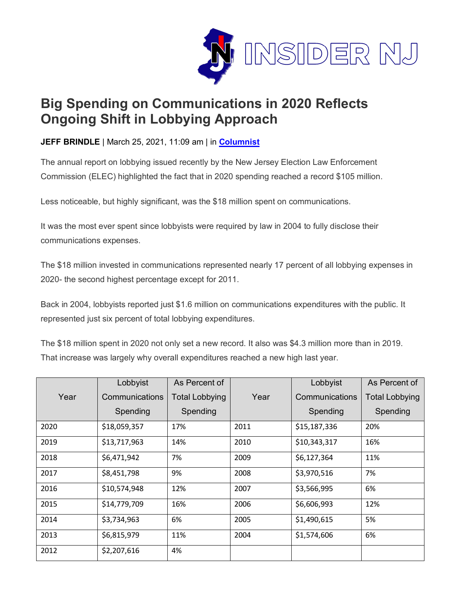

## **Big Spending on Communications in 2020 Reflects Ongoing Shift in Lobbying Approach**

**JEFF BRINDLE** | March 25, 2021, 11:09 am | in **[Columnist](https://www.insidernj.com/category/columnist/)**

The annual report on lobbying issued recently by the New Jersey Election Law Enforcement Commission (ELEC) highlighted the fact that in 2020 spending reached a record \$105 million.

Less noticeable, but highly significant, was the \$18 million spent on communications.

It was the most ever spent since lobbyists were required by law in 2004 to fully disclose their communications expenses.

The \$18 million invested in communications represented nearly 17 percent of all lobbying expenses in 2020- the second highest percentage except for 2011.

Back in 2004, lobbyists reported just \$1.6 million on communications expenditures with the public. It represented just six percent of total lobbying expenditures.

The \$18 million spent in 2020 not only set a new record. It also was \$4.3 million more than in 2019. That increase was largely why overall expenditures reached a new high last year.

|      | Lobbyist       | As Percent of         |      | Lobbyist       | As Percent of         |
|------|----------------|-----------------------|------|----------------|-----------------------|
| Year | Communications | <b>Total Lobbying</b> | Year | Communications | <b>Total Lobbying</b> |
|      | Spending       | Spending              |      | Spending       | Spending              |
| 2020 | \$18,059,357   | 17%                   | 2011 | \$15,187,336   | 20%                   |
| 2019 | \$13,717,963   | 14%                   | 2010 | \$10,343,317   | 16%                   |
| 2018 | \$6,471,942    | 7%                    | 2009 | \$6,127,364    | 11%                   |
| 2017 | \$8,451,798    | 9%                    | 2008 | \$3,970,516    | 7%                    |
| 2016 | \$10,574,948   | 12%                   | 2007 | \$3,566,995    | 6%                    |
| 2015 | \$14,779,709   | 16%                   | 2006 | \$6,606,993    | 12%                   |
| 2014 | \$3,734,963    | 6%                    | 2005 | \$1,490,615    | 5%                    |
| 2013 | \$6,815,979    | 11%                   | 2004 | \$1,574,606    | 6%                    |
| 2012 | \$2,207,616    | 4%                    |      |                |                       |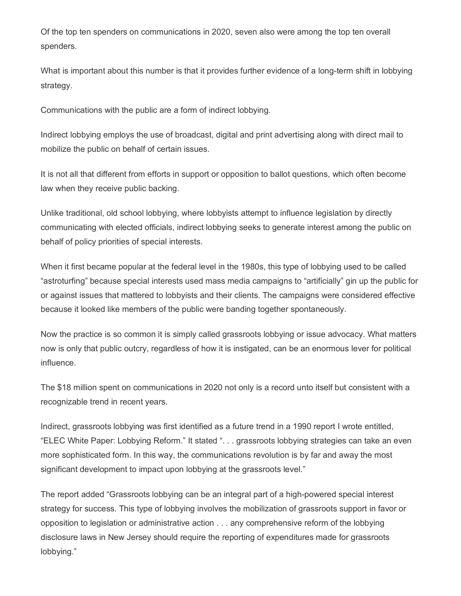Of the top ten spenders on communications in 2020, seven also were among the top ten overall spenders.

What is important about this number is that it provides further evidence of a long-term shift in lobbying strategy.

Communications with the public are a form of indirect lobbying.

Indirect lobbying employs the use of broadcast, digital and print advertising along with direct mail to mobilize the public on behalf of certain issues.

It is not all that different from efforts in support or opposition to ballot questions, which often become law when they receive public backing.

Unlike traditional, old school lobbying, where lobbyists attempt to influence legislation by directly communicating with elected officials, indirect lobbying seeks to generate interest among the public on behalf of policy priorities of special interests.

When it first became popular at the federal level in the 1980s, this type of lobbying used to be called "astroturfing" because special interests used mass media campaigns to "artificially" gin up the public for or against issues that mattered to lobbyists and their clients. The campaigns were considered effective because it looked like members of the public were banding together spontaneously.

Now the practice is so common it is simply called grassroots lobbying or issue advocacy. What matters now is only that public outcry, regardless of how it is instigated, can be an enormous lever for political influence.

The \$18 million spent on communications in 2020 not only is a record unto itself but consistent with a recognizable trend in recent years.

Indirect, grassroots lobbying was first identified as a future trend in a 1990 report I wrote entitled, "ELEC White Paper: Lobbying Reform." It stated ". . . grassroots lobbying strategies can take an even more sophisticated form. In this way, the communications revolution is by far and away the most significant development to impact upon lobbying at the grassroots level."

The report added "Grassroots lobbying can be an integral part of a high-powered special interest strategy for success. This type of lobbying involves the mobilization of grassroots support in favor or opposition to legislation or administrative action . . . any comprehensive reform of the lobbying disclosure laws in New Jersey should require the reporting of expenditures made for grassroots lobbying."